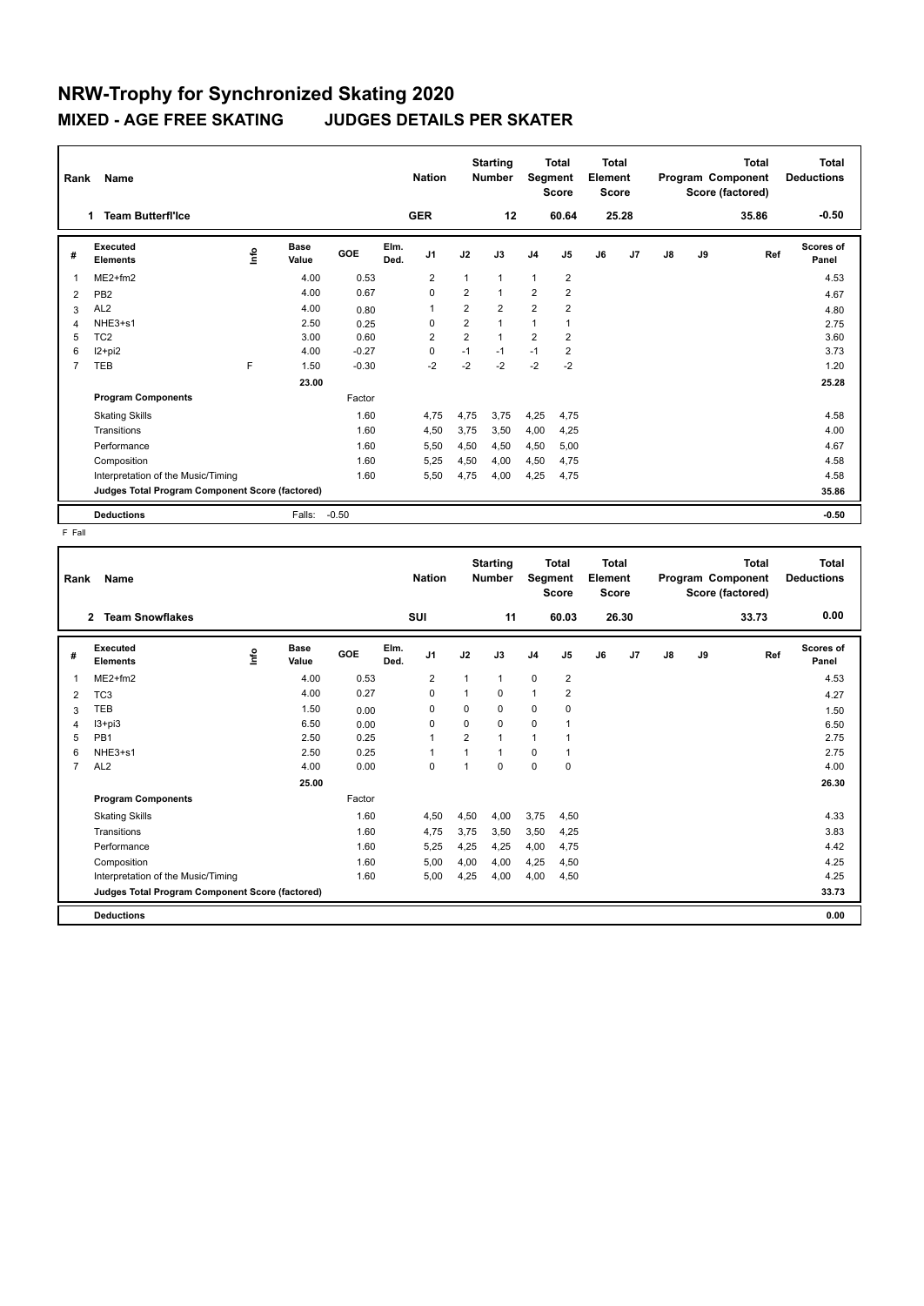| Rank | Name                                            |      |                      |         |              | <b>Nation</b>  |                | <b>Starting</b><br><b>Number</b> |                         | <b>Total</b><br>Segment<br><b>Score</b> | <b>Total</b><br>Element<br><b>Score</b> |       |               |    | <b>Total</b><br>Program Component<br>Score (factored) | <b>Total</b><br><b>Deductions</b> |
|------|-------------------------------------------------|------|----------------------|---------|--------------|----------------|----------------|----------------------------------|-------------------------|-----------------------------------------|-----------------------------------------|-------|---------------|----|-------------------------------------------------------|-----------------------------------|
|      | <b>Team Butterfl'Ice</b><br>1.                  |      |                      |         |              | <b>GER</b>     |                | 12                               |                         | 60.64                                   |                                         | 25.28 |               |    | 35.86                                                 | $-0.50$                           |
| #    | Executed<br><b>Elements</b>                     | lnfo | <b>Base</b><br>Value | GOE     | Elm.<br>Ded. | J <sub>1</sub> | J2             | J3                               | J <sub>4</sub>          | J <sub>5</sub>                          | J6                                      | J7    | $\mathsf{J}8$ | J9 | Ref                                                   | <b>Scores of</b><br>Panel         |
| 1    | $ME2+fm2$                                       |      | 4.00                 | 0.53    |              | $\overline{2}$ | 1              | $\mathbf{1}$                     | 1                       | $\overline{2}$                          |                                         |       |               |    |                                                       | 4.53                              |
| 2    | PB <sub>2</sub>                                 |      | 4.00                 | 0.67    |              | $\Omega$       | $\overline{2}$ | $\mathbf{1}$                     | $\overline{2}$          | $\overline{2}$                          |                                         |       |               |    |                                                       | 4.67                              |
| 3    | AL <sub>2</sub>                                 |      | 4.00                 | 0.80    |              | 1              | $\overline{2}$ | $\overline{2}$                   | $\overline{\mathbf{c}}$ | 2                                       |                                         |       |               |    |                                                       | 4.80                              |
| 4    | NHE3+s1                                         |      | 2.50                 | 0.25    |              | $\Omega$       | $\overline{2}$ | $\mathbf{1}$                     | 1                       | 1                                       |                                         |       |               |    |                                                       | 2.75                              |
| 5    | TC <sub>2</sub>                                 |      | 3.00                 | 0.60    |              | $\overline{2}$ | $\overline{2}$ | $\mathbf{1}$                     | $\overline{2}$          | $\overline{2}$                          |                                         |       |               |    |                                                       | 3.60                              |
| 6    | $12+pi2$                                        |      | 4.00                 | $-0.27$ |              | 0              | $-1$           | $-1$                             | $-1$                    | $\overline{2}$                          |                                         |       |               |    |                                                       | 3.73                              |
| 7    | TEB                                             | F    | 1.50                 | $-0.30$ |              | $-2$           | $-2$           | $-2$                             | $-2$                    | $-2$                                    |                                         |       |               |    |                                                       | 1.20                              |
|      |                                                 |      | 23.00                |         |              |                |                |                                  |                         |                                         |                                         |       |               |    |                                                       | 25.28                             |
|      | <b>Program Components</b>                       |      |                      | Factor  |              |                |                |                                  |                         |                                         |                                         |       |               |    |                                                       |                                   |
|      | <b>Skating Skills</b>                           |      |                      | 1.60    |              | 4,75           | 4,75           | 3.75                             | 4,25                    | 4,75                                    |                                         |       |               |    |                                                       | 4.58                              |
|      | Transitions                                     |      |                      | 1.60    |              | 4,50           | 3,75           | 3,50                             | 4,00                    | 4,25                                    |                                         |       |               |    |                                                       | 4.00                              |
|      | Performance                                     |      |                      | 1.60    |              | 5,50           | 4,50           | 4,50                             | 4,50                    | 5,00                                    |                                         |       |               |    |                                                       | 4.67                              |
|      | Composition                                     |      |                      | 1.60    |              | 5.25           | 4,50           | 4,00                             | 4,50                    | 4.75                                    |                                         |       |               |    |                                                       | 4.58                              |
|      | Interpretation of the Music/Timing              |      |                      | 1.60    |              | 5,50           | 4,75           | 4,00                             | 4,25                    | 4,75                                    |                                         |       |               |    |                                                       | 4.58                              |
|      | Judges Total Program Component Score (factored) |      |                      |         |              |                |                |                                  |                         |                                         |                                         |       |               |    |                                                       | 35.86                             |
|      | <b>Deductions</b>                               |      | Falls:               | $-0.50$ |              |                |                |                                  |                         |                                         |                                         |       |               |    |                                                       | $-0.50$                           |

F Fall

| $\mathbf{2}$<br>#                 |                                                 |                              | <b>Nation</b> |              | <b>Number</b>  | Segment        | <b>Score</b> | Element<br>Score |                         |    |       | <b>Total</b><br>Program Component<br>Score (factored) | <b>Total</b><br><b>Deductions</b> |       |                    |
|-----------------------------------|-------------------------------------------------|------------------------------|---------------|--------------|----------------|----------------|--------------|------------------|-------------------------|----|-------|-------------------------------------------------------|-----------------------------------|-------|--------------------|
|                                   | <b>Team Snowflakes</b>                          |                              |               |              | SUI            |                | 11           |                  | 60.03                   |    | 26.30 |                                                       |                                   | 33.73 | 0.00               |
|                                   | Executed<br><b>Elements</b>                     | <b>Base</b><br>١nf٥<br>Value | GOE           | Elm.<br>Ded. | J <sub>1</sub> | J2             | J3           | J <sub>4</sub>   | J <sub>5</sub>          | J6 | J7    | J8                                                    | J9                                | Ref   | Scores of<br>Panel |
| 1                                 | $ME2+fm2$                                       |                              | 4.00          | 0.53         | $\overline{2}$ | 1              | 1            | $\mathbf 0$      | $\overline{2}$          |    |       |                                                       |                                   |       | 4.53               |
| TC <sub>3</sub><br>2              |                                                 |                              | 4.00          | 0.27         | $\Omega$       | 1              | 0            | $\mathbf{1}$     | $\overline{\mathbf{c}}$ |    |       |                                                       |                                   |       | 4.27               |
| <b>TEB</b><br>3                   |                                                 |                              | 1.50          | 0.00         | $\Omega$       | $\Omega$       | 0            | 0                | 0                       |    |       |                                                       |                                   |       | 1.50               |
| 4                                 | $13 + pi3$                                      |                              | 6.50          | 0.00         | $\Omega$       | $\Omega$       | 0            | $\mathbf 0$      | 1                       |    |       |                                                       |                                   |       | 6.50               |
| PB <sub>1</sub><br>5              |                                                 |                              | 2.50          | 0.25         | $\mathbf{1}$   | 2              | $\mathbf{1}$ | $\overline{1}$   | 1                       |    |       |                                                       |                                   |       | 2.75               |
| 6                                 | NHE3+s1                                         |                              | 2.50          | 0.25         | -1             | $\overline{1}$ | 1            | $\mathbf 0$      | 1                       |    |       |                                                       |                                   |       | 2.75               |
| AL <sub>2</sub><br>$\overline{7}$ |                                                 |                              | 4.00          | 0.00         | $\mathbf 0$    | 1              | $\Omega$     | $\mathbf 0$      | 0                       |    |       |                                                       |                                   |       | 4.00               |
|                                   |                                                 |                              | 25.00         |              |                |                |              |                  |                         |    |       |                                                       |                                   |       | 26.30              |
|                                   | <b>Program Components</b>                       |                              | Factor        |              |                |                |              |                  |                         |    |       |                                                       |                                   |       |                    |
|                                   | <b>Skating Skills</b>                           |                              |               | 1.60         | 4,50           | 4,50           | 4,00         | 3,75             | 4,50                    |    |       |                                                       |                                   |       | 4.33               |
|                                   | Transitions                                     |                              |               | 1.60         | 4,75           | 3,75           | 3,50         | 3,50             | 4,25                    |    |       |                                                       |                                   |       | 3.83               |
|                                   | Performance                                     |                              |               | 1.60         | 5,25           | 4,25           | 4,25         | 4,00             | 4,75                    |    |       |                                                       |                                   |       | 4.42               |
|                                   | Composition                                     |                              |               | 1.60         | 5,00           | 4,00           | 4,00         | 4,25             | 4,50                    |    |       |                                                       |                                   |       | 4.25               |
|                                   | Interpretation of the Music/Timing              |                              |               | 1.60         | 5,00           | 4,25           | 4,00         | 4,00             | 4,50                    |    |       |                                                       |                                   |       | 4.25               |
|                                   | Judges Total Program Component Score (factored) |                              |               |              |                |                |              |                  |                         |    |       |                                                       |                                   |       | 33.73              |
|                                   | <b>Deductions</b>                               |                              |               |              |                |                |              |                  |                         |    |       |                                                       |                                   |       | 0.00               |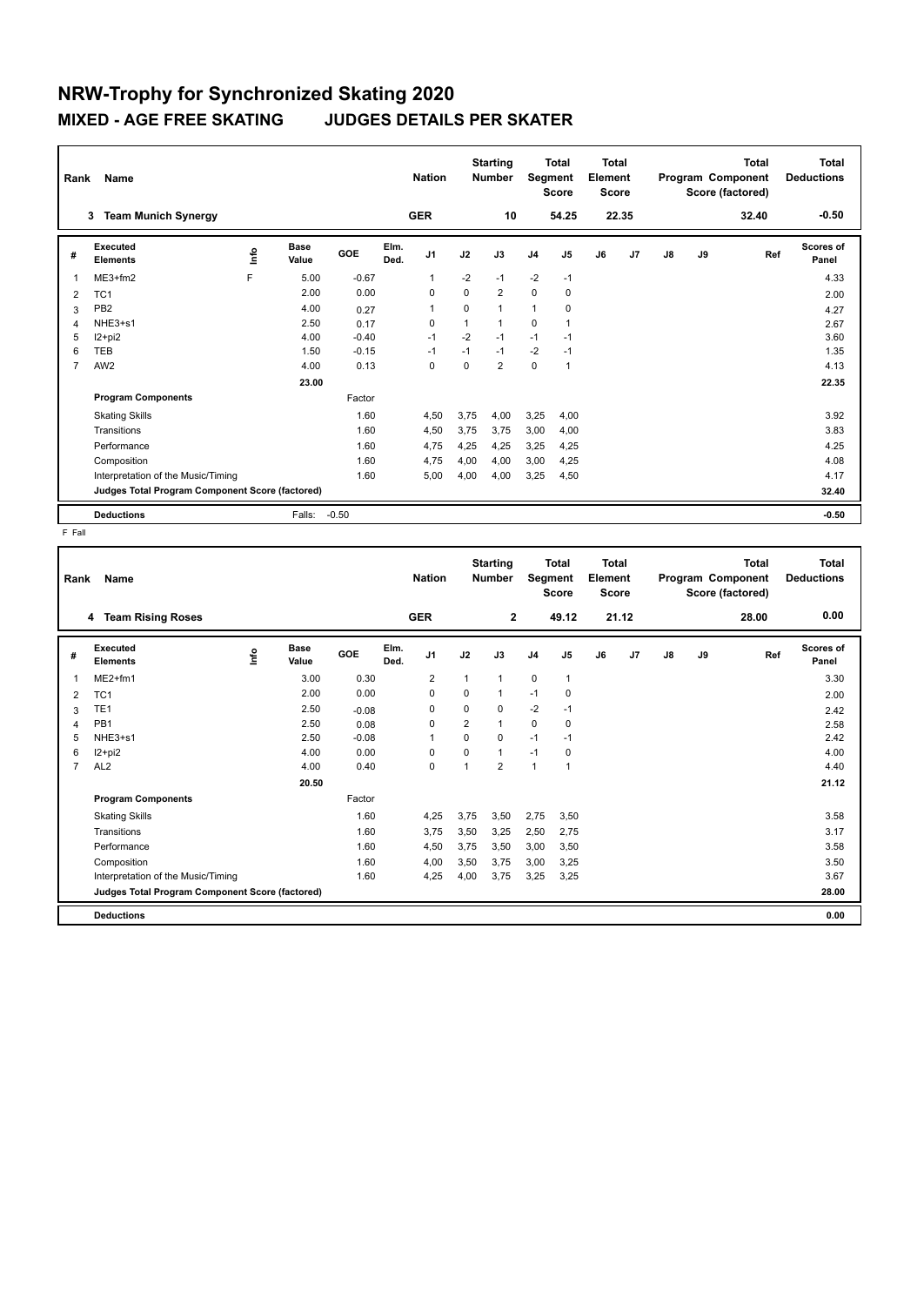| Rank | Name                                            |      |                      |            |              | <b>Nation</b>  |          | <b>Starting</b><br><b>Number</b> | Segment        | <b>Total</b><br><b>Score</b> | Total<br>Element<br><b>Score</b> |                |    |    | <b>Total</b><br>Program Component<br>Score (factored) | Total<br><b>Deductions</b> |
|------|-------------------------------------------------|------|----------------------|------------|--------------|----------------|----------|----------------------------------|----------------|------------------------------|----------------------------------|----------------|----|----|-------------------------------------------------------|----------------------------|
|      | <b>Team Munich Synergy</b><br>3                 |      |                      |            |              | <b>GER</b>     |          | 10                               |                | 54.25                        |                                  | 22.35          |    |    | 32.40                                                 | $-0.50$                    |
| #    | Executed<br><b>Elements</b>                     | ١nfo | <b>Base</b><br>Value | <b>GOE</b> | Elm.<br>Ded. | J1             | J2       | J3                               | J <sub>4</sub> | J <sub>5</sub>               | J6                               | J <sub>7</sub> | J8 | J9 | Ref                                                   | Scores of<br>Panel         |
| 1    | $ME3+fm2$                                       | F    | 5.00                 | $-0.67$    |              | $\overline{1}$ | $-2$     | $-1$                             | $-2$           | $-1$                         |                                  |                |    |    |                                                       | 4.33                       |
| 2    | TC <sub>1</sub>                                 |      | 2.00                 | 0.00       |              | $\Omega$       | $\Omega$ | $\overline{2}$                   | $\mathbf 0$    | $\mathbf 0$                  |                                  |                |    |    |                                                       | 2.00                       |
| 3    | PB <sub>2</sub>                                 |      | 4.00                 | 0.27       |              | $\overline{1}$ | $\Omega$ | $\mathbf{1}$                     | 1              | 0                            |                                  |                |    |    |                                                       | 4.27                       |
| 4    | NHE3+s1                                         |      | 2.50                 | 0.17       |              | 0              |          | 1                                | 0              |                              |                                  |                |    |    |                                                       | 2.67                       |
| 5    | I2+pi2                                          |      | 4.00                 | $-0.40$    |              | $-1$           | $-2$     | $-1$                             | $-1$           | $-1$                         |                                  |                |    |    |                                                       | 3.60                       |
| 6    | TEB                                             |      | 1.50                 | $-0.15$    |              | $-1$           | $-1$     | $-1$                             | $-2$           | $-1$                         |                                  |                |    |    |                                                       | 1.35                       |
| 7    | AW <sub>2</sub>                                 |      | 4.00                 | 0.13       |              | 0              | 0        | $\overline{2}$                   | 0              | $\mathbf{1}$                 |                                  |                |    |    |                                                       | 4.13                       |
|      |                                                 |      | 23.00                |            |              |                |          |                                  |                |                              |                                  |                |    |    |                                                       | 22.35                      |
|      | <b>Program Components</b>                       |      |                      | Factor     |              |                |          |                                  |                |                              |                                  |                |    |    |                                                       |                            |
|      | <b>Skating Skills</b>                           |      |                      | 1.60       |              | 4,50           | 3,75     | 4.00                             | 3,25           | 4,00                         |                                  |                |    |    |                                                       | 3.92                       |
|      | Transitions                                     |      |                      | 1.60       |              | 4,50           | 3,75     | 3.75                             | 3,00           | 4,00                         |                                  |                |    |    |                                                       | 3.83                       |
|      | Performance                                     |      |                      | 1.60       |              | 4,75           | 4,25     | 4,25                             | 3,25           | 4,25                         |                                  |                |    |    |                                                       | 4.25                       |
|      | Composition                                     |      |                      | 1.60       |              | 4,75           | 4,00     | 4,00                             | 3,00           | 4,25                         |                                  |                |    |    |                                                       | 4.08                       |
|      | Interpretation of the Music/Timing              |      |                      | 1.60       |              | 5,00           | 4,00     | 4,00                             | 3,25           | 4,50                         |                                  |                |    |    |                                                       | 4.17                       |
|      | Judges Total Program Component Score (factored) |      |                      |            |              |                |          |                                  |                |                              |                                  |                |    |    |                                                       | 32.40                      |
|      | <b>Deductions</b>                               |      | Falls:               | $-0.50$    |              |                |          |                                  |                |                              |                                  |                |    |    |                                                       | $-0.50$                    |

F Fall

| Rank           | Name                                            |                              |            |              | <b>Nation</b>  |                | <b>Starting</b><br>Number |                | <b>Total</b><br>Segment<br><b>Score</b> | <b>Total</b><br>Element<br><b>Score</b> |       |    |    | <b>Total</b><br>Program Component<br>Score (factored) | <b>Total</b><br><b>Deductions</b> |
|----------------|-------------------------------------------------|------------------------------|------------|--------------|----------------|----------------|---------------------------|----------------|-----------------------------------------|-----------------------------------------|-------|----|----|-------------------------------------------------------|-----------------------------------|
|                | 4 Team Rising Roses                             |                              |            |              | <b>GER</b>     |                | $\mathbf{2}$              |                | 49.12                                   |                                         | 21.12 |    |    | 28.00                                                 | 0.00                              |
| #              | <b>Executed</b><br><b>Elements</b>              | <b>Base</b><br>١nf٥<br>Value | <b>GOE</b> | Elm.<br>Ded. | J1             | J2             | J3                        | J <sub>4</sub> | J <sub>5</sub>                          | J6                                      | J7    | J8 | J9 | Ref                                                   | <b>Scores of</b><br>Panel         |
| 1              | ME2+fm1                                         | 3.00                         | 0.30       |              | $\overline{2}$ | 1              | $\mathbf{1}$              | 0              | $\mathbf{1}$                            |                                         |       |    |    |                                                       | 3.30                              |
| 2              | TC <sub>1</sub>                                 | 2.00                         | 0.00       |              | 0              | 0              | $\mathbf{1}$              | $-1$           | 0                                       |                                         |       |    |    |                                                       | 2.00                              |
| 3              | TE <sub>1</sub>                                 | 2.50                         | $-0.08$    |              | 0              | $\mathbf 0$    | $\mathbf 0$               | $-2$           | $-1$                                    |                                         |       |    |    |                                                       | 2.42                              |
| 4              | PB <sub>1</sub>                                 | 2.50                         | 0.08       |              | 0              | $\overline{2}$ | $\mathbf{1}$              | $\mathbf 0$    | 0                                       |                                         |       |    |    |                                                       | 2.58                              |
| 5              | NHE3+s1                                         | 2.50                         | $-0.08$    |              | 1              | $\mathbf 0$    | 0                         | $-1$           | $-1$                                    |                                         |       |    |    |                                                       | 2.42                              |
| 6              | I2+pi2                                          | 4.00                         | 0.00       |              | 0              | $\Omega$       | $\mathbf{1}$              | $-1$           | 0                                       |                                         |       |    |    |                                                       | 4.00                              |
| $\overline{7}$ | AL <sub>2</sub>                                 | 4.00                         | 0.40       |              | $\mathbf 0$    | $\overline{1}$ | $\overline{2}$            | $\mathbf{1}$   | $\overline{1}$                          |                                         |       |    |    |                                                       | 4.40                              |
|                |                                                 | 20.50                        |            |              |                |                |                           |                |                                         |                                         |       |    |    |                                                       | 21.12                             |
|                | <b>Program Components</b>                       |                              | Factor     |              |                |                |                           |                |                                         |                                         |       |    |    |                                                       |                                   |
|                | <b>Skating Skills</b>                           |                              | 1.60       |              | 4,25           | 3,75           | 3,50                      | 2,75           | 3,50                                    |                                         |       |    |    |                                                       | 3.58                              |
|                | Transitions                                     |                              | 1.60       |              | 3,75           | 3,50           | 3,25                      | 2,50           | 2,75                                    |                                         |       |    |    |                                                       | 3.17                              |
|                | Performance                                     |                              | 1.60       |              | 4,50           | 3.75           | 3,50                      | 3,00           | 3,50                                    |                                         |       |    |    |                                                       | 3.58                              |
|                | Composition                                     |                              | 1.60       |              | 4,00           | 3,50           | 3,75                      | 3,00           | 3,25                                    |                                         |       |    |    |                                                       | 3.50                              |
|                | Interpretation of the Music/Timing              |                              | 1.60       |              | 4,25           | 4,00           | 3,75                      | 3,25           | 3,25                                    |                                         |       |    |    |                                                       | 3.67                              |
|                | Judges Total Program Component Score (factored) |                              |            |              |                |                |                           |                |                                         |                                         |       |    |    |                                                       | 28.00                             |
|                | <b>Deductions</b>                               |                              |            |              |                |                |                           |                |                                         |                                         |       |    |    |                                                       | 0.00                              |
|                |                                                 |                              |            |              |                |                |                           |                |                                         |                                         |       |    |    |                                                       |                                   |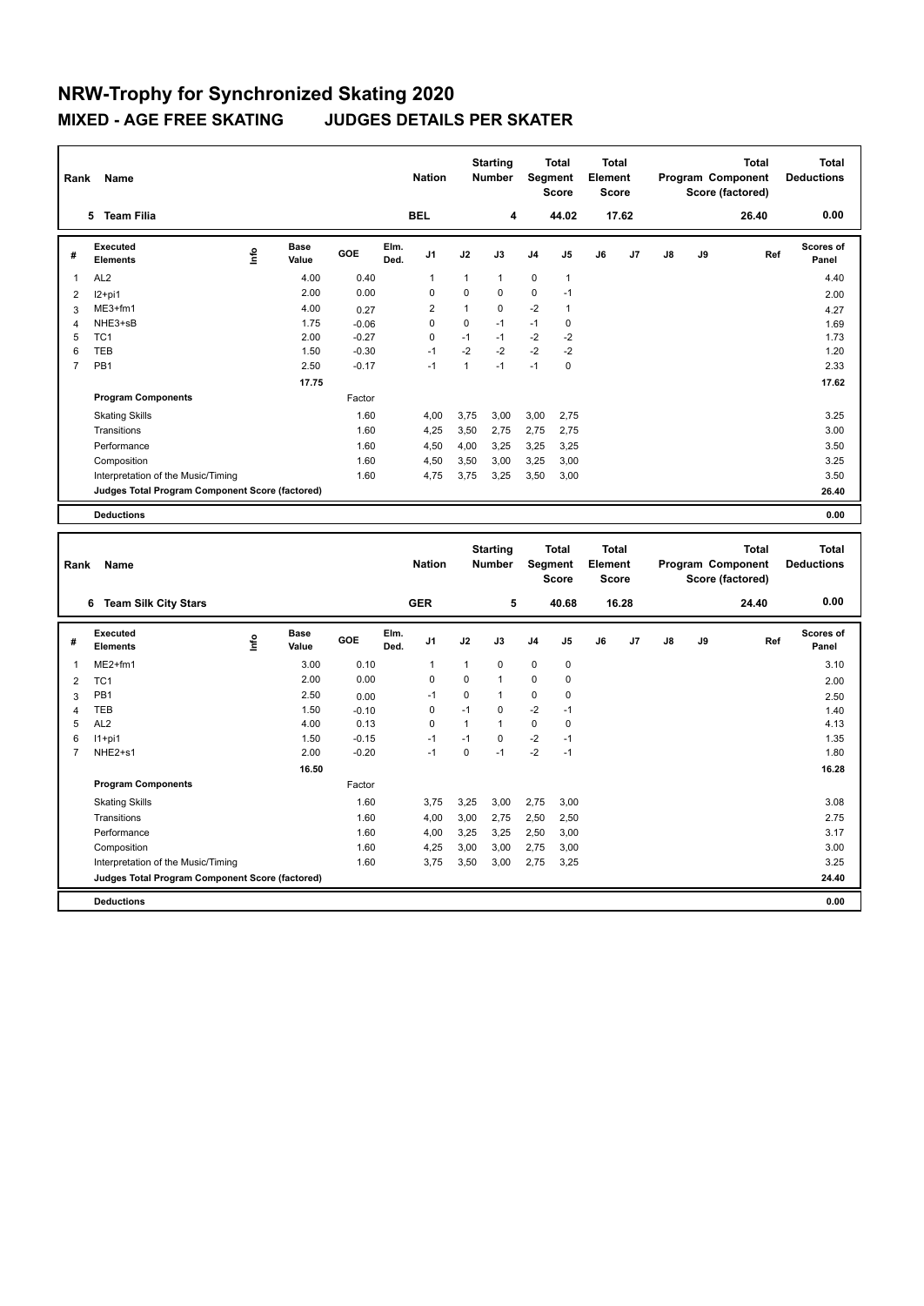| Rank           | Name                                            |      | <b>Nation</b>        |            | <b>Starting</b><br><b>Number</b> |                | Total<br>Segment<br><b>Score</b> | <b>Total</b><br>Element<br><b>Score</b> |                |                |    | <b>Total</b><br>Program Component<br>Score (factored) | <b>Total</b><br><b>Deductions</b> |    |       |                    |
|----------------|-------------------------------------------------|------|----------------------|------------|----------------------------------|----------------|----------------------------------|-----------------------------------------|----------------|----------------|----|-------------------------------------------------------|-----------------------------------|----|-------|--------------------|
|                | <b>Team Filia</b><br>5                          |      |                      |            |                                  | <b>BEL</b>     |                                  | 4                                       |                | 44.02          |    | 17.62                                                 |                                   |    | 26.40 | 0.00               |
| #              | Executed<br><b>Elements</b>                     | lnfo | <b>Base</b><br>Value | <b>GOE</b> | Elm.<br>Ded.                     | J <sub>1</sub> | J2                               | J3                                      | J <sub>4</sub> | J5             | J6 | J7                                                    | $\mathsf{J}8$                     | J9 | Ref   | Scores of<br>Panel |
| 1              | AL <sub>2</sub>                                 |      | 4.00                 | 0.40       |                                  | 1              | $\mathbf{1}$                     | $\mathbf{1}$                            | $\mathbf 0$    | $\mathbf{1}$   |    |                                                       |                                   |    |       | 4.40               |
| 2              | $12+pi1$                                        |      | 2.00                 | 0.00       |                                  | 0              | 0                                | 0                                       | $\mathbf 0$    | $-1$           |    |                                                       |                                   |    |       | 2.00               |
| 3              | $ME3+fm1$                                       |      | 4.00                 | 0.27       |                                  | $\overline{2}$ | 1                                | $\Omega$                                | $-2$           | $\overline{1}$ |    |                                                       |                                   |    |       | 4.27               |
| 4              | NHE3+sB                                         |      | 1.75                 | $-0.06$    |                                  | 0              | 0                                | $-1$                                    | $-1$           | 0              |    |                                                       |                                   |    |       | 1.69               |
| 5              | TC <sub>1</sub>                                 |      | 2.00                 | $-0.27$    |                                  | 0              | $-1$                             | $-1$                                    | $-2$           | $-2$           |    |                                                       |                                   |    |       | 1.73               |
| 6              | <b>TEB</b>                                      |      | 1.50                 | $-0.30$    |                                  | $-1$           | $-2$                             | $-2$                                    | $-2$           | $-2$           |    |                                                       |                                   |    |       | 1.20               |
| $\overline{7}$ | PB <sub>1</sub>                                 |      | 2.50                 | $-0.17$    |                                  | $-1$           | 1                                | $-1$                                    | $-1$           | 0              |    |                                                       |                                   |    |       | 2.33               |
|                |                                                 |      | 17.75                |            |                                  |                |                                  |                                         |                |                |    |                                                       |                                   |    |       | 17.62              |
|                | <b>Program Components</b>                       |      |                      | Factor     |                                  |                |                                  |                                         |                |                |    |                                                       |                                   |    |       |                    |
|                | <b>Skating Skills</b>                           |      |                      | 1.60       |                                  | 4.00           | 3,75                             | 3.00                                    | 3,00           | 2.75           |    |                                                       |                                   |    |       | 3.25               |
|                | Transitions                                     |      |                      | 1.60       |                                  | 4,25           | 3,50                             | 2,75                                    | 2,75           | 2,75           |    |                                                       |                                   |    |       | 3.00               |
|                | Performance                                     |      |                      | 1.60       |                                  | 4,50           | 4,00                             | 3,25                                    | 3,25           | 3,25           |    |                                                       |                                   |    |       | 3.50               |
|                | Composition                                     |      |                      | 1.60       |                                  | 4,50           | 3,50                             | 3,00                                    | 3,25           | 3,00           |    |                                                       |                                   |    |       | 3.25               |
|                | Interpretation of the Music/Timing              |      |                      | 1.60       |                                  | 4,75           | 3,75                             | 3,25                                    | 3,50           | 3,00           |    |                                                       |                                   |    |       | 3.50               |
|                | Judges Total Program Component Score (factored) |      |                      |            |                                  |                |                                  |                                         |                |                |    |                                                       |                                   |    |       | 26.40              |
|                | <b>Deductions</b>                               |      |                      |            |                                  |                |                                  |                                         |                |                |    |                                                       |                                   |    |       | 0.00               |

| Rank           | Name                                            |    |                      |         |              | <b>Nation</b>  |              | <b>Starting</b><br><b>Number</b> |                | <b>Total</b><br>Segment<br><b>Score</b> | <b>Total</b><br>Element<br><b>Score</b> |       |    |    | <b>Total</b><br>Program Component<br>Score (factored) | Total<br><b>Deductions</b> |
|----------------|-------------------------------------------------|----|----------------------|---------|--------------|----------------|--------------|----------------------------------|----------------|-----------------------------------------|-----------------------------------------|-------|----|----|-------------------------------------------------------|----------------------------|
|                | <b>Team Silk City Stars</b><br>6                |    |                      |         |              | <b>GER</b>     |              | 5                                |                | 40.68                                   |                                         | 16.28 |    |    | 24.40                                                 | 0.00                       |
| #              | Executed<br><b>Elements</b>                     | ۴ů | <b>Base</b><br>Value | GOE     | Elm.<br>Ded. | J <sub>1</sub> | J2           | J3                               | J <sub>4</sub> | J5                                      | J6                                      | J7    | J8 | J9 | Ref                                                   | Scores of<br>Panel         |
| 1              | $ME2+fm1$                                       |    | 3.00                 | 0.10    |              | 1              | $\mathbf{1}$ | $\mathbf 0$                      | $\mathbf 0$    | $\mathbf 0$                             |                                         |       |    |    |                                                       | 3.10                       |
| $\overline{2}$ | TC <sub>1</sub>                                 |    | 2.00                 | 0.00    |              | 0              | $\Omega$     | $\mathbf{1}$                     | $\mathbf 0$    | 0                                       |                                         |       |    |    |                                                       | 2.00                       |
| 3              | PB <sub>1</sub>                                 |    | 2.50                 | 0.00    |              | $-1$           | $\Omega$     | $\mathbf{1}$                     | $\mathbf 0$    | 0                                       |                                         |       |    |    |                                                       | 2.50                       |
| 4              | <b>TEB</b>                                      |    | 1.50                 | $-0.10$ |              | 0              | $-1$         | $\mathbf 0$                      | $-2$           | $-1$                                    |                                         |       |    |    |                                                       | 1.40                       |
| 5              | AL <sub>2</sub>                                 |    | 4.00                 | 0.13    |              | 0              | 1            | $\mathbf{1}$                     | 0              | 0                                       |                                         |       |    |    |                                                       | 4.13                       |
| 6              | $11+pi1$                                        |    | 1.50                 | $-0.15$ |              | $-1$           | $-1$         | $\Omega$                         | $-2$           | $-1$                                    |                                         |       |    |    |                                                       | 1.35                       |
| 7              | NHE2+s1                                         |    | 2.00                 | $-0.20$ |              | $-1$           | $\Omega$     | $-1$                             | $-2$           | $-1$                                    |                                         |       |    |    |                                                       | 1.80                       |
|                |                                                 |    | 16.50                |         |              |                |              |                                  |                |                                         |                                         |       |    |    |                                                       | 16.28                      |
|                | <b>Program Components</b>                       |    |                      | Factor  |              |                |              |                                  |                |                                         |                                         |       |    |    |                                                       |                            |
|                | <b>Skating Skills</b>                           |    |                      | 1.60    |              | 3,75           | 3,25         | 3,00                             | 2,75           | 3,00                                    |                                         |       |    |    |                                                       | 3.08                       |
|                | Transitions                                     |    |                      | 1.60    |              | 4,00           | 3,00         | 2,75                             | 2,50           | 2,50                                    |                                         |       |    |    |                                                       | 2.75                       |
|                | Performance                                     |    |                      | 1.60    |              | 4,00           | 3,25         | 3,25                             | 2,50           | 3,00                                    |                                         |       |    |    |                                                       | 3.17                       |
|                | Composition                                     |    |                      | 1.60    |              | 4,25           | 3,00         | 3,00                             | 2,75           | 3,00                                    |                                         |       |    |    |                                                       | 3.00                       |
|                | Interpretation of the Music/Timing              |    |                      | 1.60    |              | 3,75           | 3,50         | 3,00                             | 2,75           | 3,25                                    |                                         |       |    |    |                                                       | 3.25                       |
|                | Judges Total Program Component Score (factored) |    |                      |         |              |                |              |                                  |                |                                         |                                         |       |    |    |                                                       | 24.40                      |
|                | <b>Deductions</b>                               |    |                      |         |              |                |              |                                  |                |                                         |                                         |       |    |    |                                                       | 0.00                       |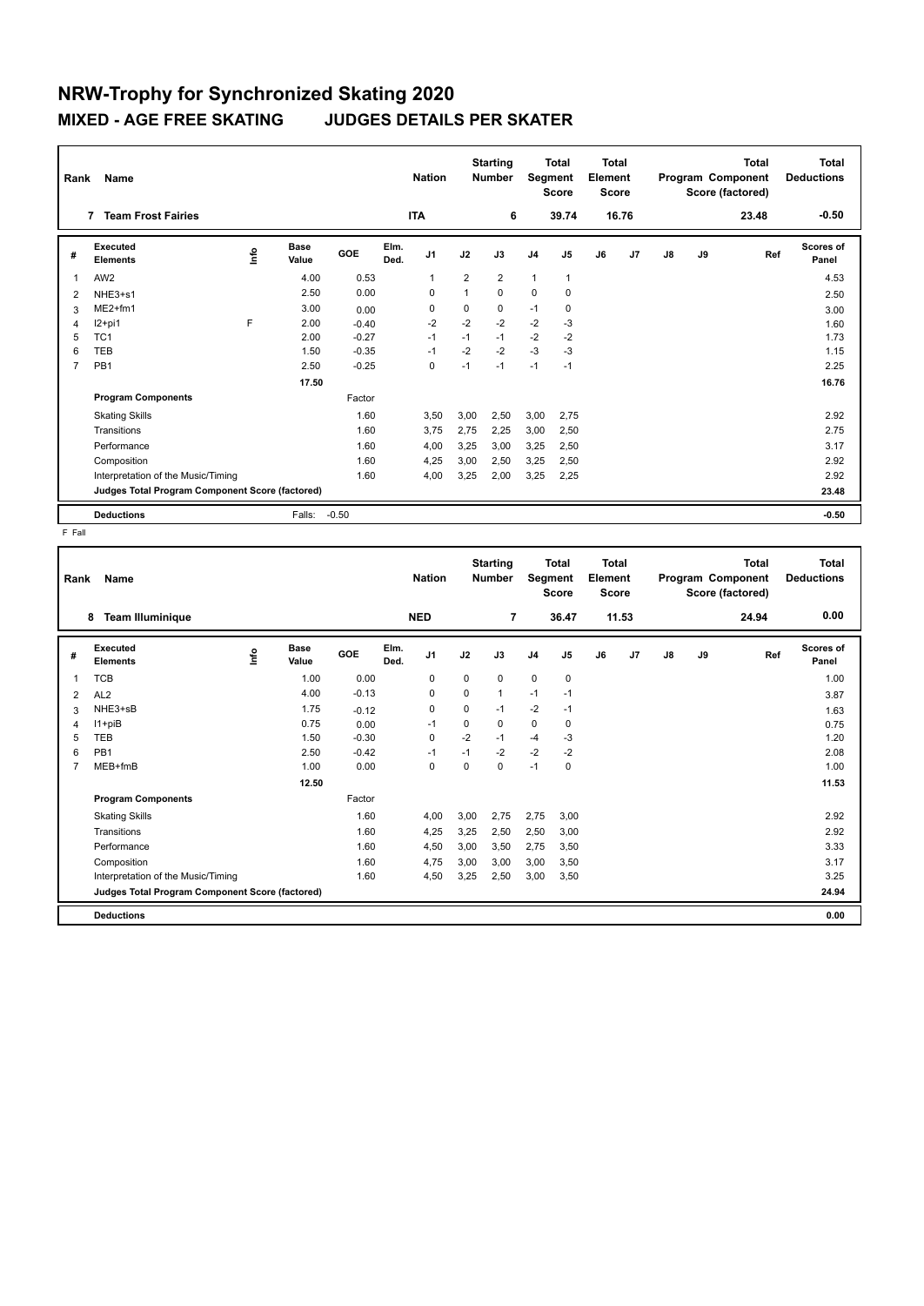| Rank           | <b>Name</b>                                     |    |                      | <b>Nation</b> |              | <b>Starting</b><br><b>Number</b> | Segment        | <b>Total</b><br><b>Score</b> | <b>Total</b><br>Element<br><b>Score</b> |                |    |                | <b>Total</b><br>Program Component<br>Score (factored) | <b>Total</b><br><b>Deductions</b> |       |                           |
|----------------|-------------------------------------------------|----|----------------------|---------------|--------------|----------------------------------|----------------|------------------------------|-----------------------------------------|----------------|----|----------------|-------------------------------------------------------|-----------------------------------|-------|---------------------------|
|                | <b>Team Frost Fairies</b><br>7                  |    |                      |               |              | <b>ITA</b>                       |                | 6                            |                                         | 39.74          |    | 16.76          |                                                       |                                   | 23.48 | $-0.50$                   |
| #              | <b>Executed</b><br><b>Elements</b>              | ۴ů | <b>Base</b><br>Value | GOE           | Elm.<br>Ded. | J1                               | J2             | J3                           | J <sub>4</sub>                          | J <sub>5</sub> | J6 | J <sub>7</sub> | $\mathsf{J}8$                                         | J9                                | Ref   | <b>Scores of</b><br>Panel |
| $\overline{1}$ | AW <sub>2</sub>                                 |    | 4.00                 | 0.53          |              | $\mathbf{1}$                     | $\overline{2}$ | $\overline{2}$               | $\mathbf{1}$                            | 1              |    |                |                                                       |                                   |       | 4.53                      |
| 2              | NHE3+s1                                         |    | 2.50                 | 0.00          |              | $\Omega$                         | 1              | 0                            | $\Omega$                                | 0              |    |                |                                                       |                                   |       | 2.50                      |
| 3              | $ME2+fm1$                                       |    | 3.00                 | 0.00          |              | 0                                | 0              | 0                            | $-1$                                    | 0              |    |                |                                                       |                                   |       | 3.00                      |
| 4              | I2+pi1                                          | F  | 2.00                 | $-0.40$       |              | $-2$                             | $-2$           | $-2$                         | $-2$                                    | $-3$           |    |                |                                                       |                                   |       | 1.60                      |
| 5              | TC <sub>1</sub>                                 |    | 2.00                 | $-0.27$       |              | $-1$                             | $-1$           | $-1$                         | $-2$                                    | $-2$           |    |                |                                                       |                                   |       | 1.73                      |
| 6              | <b>TEB</b>                                      |    | 1.50                 | $-0.35$       |              | $-1$                             | $-2$           | $-2$                         | $-3$                                    | $-3$           |    |                |                                                       |                                   |       | 1.15                      |
| 7              | PB <sub>1</sub>                                 |    | 2.50                 | $-0.25$       |              | 0                                | $-1$           | $-1$                         | $-1$                                    | $-1$           |    |                |                                                       |                                   |       | 2.25                      |
|                |                                                 |    | 17.50                |               |              |                                  |                |                              |                                         |                |    |                |                                                       |                                   |       | 16.76                     |
|                | <b>Program Components</b>                       |    |                      | Factor        |              |                                  |                |                              |                                         |                |    |                |                                                       |                                   |       |                           |
|                | <b>Skating Skills</b>                           |    |                      | 1.60          |              | 3,50                             | 3,00           | 2,50                         | 3,00                                    | 2,75           |    |                |                                                       |                                   |       | 2.92                      |
|                | Transitions                                     |    |                      | 1.60          |              | 3,75                             | 2,75           | 2,25                         | 3,00                                    | 2,50           |    |                |                                                       |                                   |       | 2.75                      |
|                | Performance                                     |    |                      | 1.60          |              | 4,00                             | 3,25           | 3,00                         | 3,25                                    | 2,50           |    |                |                                                       |                                   |       | 3.17                      |
|                | Composition                                     |    |                      | 1.60          |              | 4,25                             | 3,00           | 2,50                         | 3,25                                    | 2,50           |    |                |                                                       |                                   |       | 2.92                      |
|                | Interpretation of the Music/Timing              |    |                      | 1.60          |              | 4,00                             | 3,25           | 2,00                         | 3,25                                    | 2,25           |    |                |                                                       |                                   |       | 2.92                      |
|                | Judges Total Program Component Score (factored) |    |                      |               |              |                                  |                |                              |                                         |                |    |                |                                                       |                                   |       | 23.48                     |
|                | <b>Deductions</b>                               |    | Falls:               | $-0.50$       |              |                                  |                |                              |                                         |                |    |                |                                                       |                                   |       | $-0.50$                   |

F Fall

| Rank           | Name                                            |      |                      |         |              | <b>Nation</b> |             | <b>Starting</b><br><b>Number</b> |                | <b>Total</b><br>Segment<br><b>Score</b> | <b>Total</b><br>Element<br><b>Score</b> |       |    |    | <b>Total</b><br>Program Component<br>Score (factored) | <b>Total</b><br><b>Deductions</b> |
|----------------|-------------------------------------------------|------|----------------------|---------|--------------|---------------|-------------|----------------------------------|----------------|-----------------------------------------|-----------------------------------------|-------|----|----|-------------------------------------------------------|-----------------------------------|
|                | <b>Team Illuminique</b><br>8                    |      |                      |         |              | <b>NED</b>    |             | $\overline{7}$                   |                | 36.47                                   |                                         | 11.53 |    |    | 24.94                                                 | 0.00                              |
| #              | Executed<br><b>Elements</b>                     | lnfo | <b>Base</b><br>Value | GOE     | Elm.<br>Ded. | J1            | J2          | J3                               | J <sub>4</sub> | J <sub>5</sub>                          | J6                                      | J7    | J8 | J9 | Ref                                                   | Scores of<br>Panel                |
| 1              | <b>TCB</b>                                      |      | 1.00                 | 0.00    |              | 0             | $\mathbf 0$ | 0                                | 0              | $\pmb{0}$                               |                                         |       |    |    |                                                       | 1.00                              |
| $\overline{2}$ | AL <sub>2</sub>                                 |      | 4.00                 | $-0.13$ |              | $\mathbf 0$   | $\mathbf 0$ | $\mathbf{1}$                     | $-1$           | $-1$                                    |                                         |       |    |    |                                                       | 3.87                              |
| 3              | NHE3+sB                                         |      | 1.75                 | $-0.12$ |              | $\mathbf 0$   | 0           | $-1$                             | $-2$           | $-1$                                    |                                         |       |    |    |                                                       | 1.63                              |
| 4              | I1+piB                                          |      | 0.75                 | 0.00    |              | $-1$          | 0           | 0                                | 0              | 0                                       |                                         |       |    |    |                                                       | 0.75                              |
| 5              | TEB                                             |      | 1.50                 | $-0.30$ |              | $\mathbf 0$   | $-2$        | $-1$                             | $-4$           | -3                                      |                                         |       |    |    |                                                       | 1.20                              |
| 6              | PB <sub>1</sub>                                 |      | 2.50                 | $-0.42$ |              | $-1$          | $-1$        | $-2$                             | $-2$           | $-2$                                    |                                         |       |    |    |                                                       | 2.08                              |
| 7              | MEB+fmB                                         |      | 1.00                 | 0.00    |              | $\mathbf 0$   | $\Omega$    | $\mathbf 0$                      | $-1$           | $\mathbf 0$                             |                                         |       |    |    |                                                       | 1.00                              |
|                |                                                 |      | 12.50                |         |              |               |             |                                  |                |                                         |                                         |       |    |    |                                                       | 11.53                             |
|                | <b>Program Components</b>                       |      |                      | Factor  |              |               |             |                                  |                |                                         |                                         |       |    |    |                                                       |                                   |
|                | <b>Skating Skills</b>                           |      |                      | 1.60    |              | 4,00          | 3,00        | 2,75                             | 2,75           | 3,00                                    |                                         |       |    |    |                                                       | 2.92                              |
|                | Transitions                                     |      |                      | 1.60    |              | 4,25          | 3,25        | 2,50                             | 2,50           | 3,00                                    |                                         |       |    |    |                                                       | 2.92                              |
|                | Performance                                     |      |                      | 1.60    |              | 4,50          | 3,00        | 3,50                             | 2,75           | 3,50                                    |                                         |       |    |    |                                                       | 3.33                              |
|                | Composition                                     |      |                      | 1.60    |              | 4,75          | 3,00        | 3.00                             | 3,00           | 3,50                                    |                                         |       |    |    |                                                       | 3.17                              |
|                | Interpretation of the Music/Timing              |      |                      | 1.60    |              | 4,50          | 3,25        | 2,50                             | 3,00           | 3,50                                    |                                         |       |    |    |                                                       | 3.25                              |
|                | Judges Total Program Component Score (factored) |      |                      |         |              |               |             |                                  |                |                                         |                                         |       |    |    |                                                       | 24.94                             |
|                | <b>Deductions</b>                               |      |                      |         |              |               |             |                                  |                |                                         |                                         |       |    |    |                                                       | 0.00                              |
|                |                                                 |      |                      |         |              |               |             |                                  |                |                                         |                                         |       |    |    |                                                       |                                   |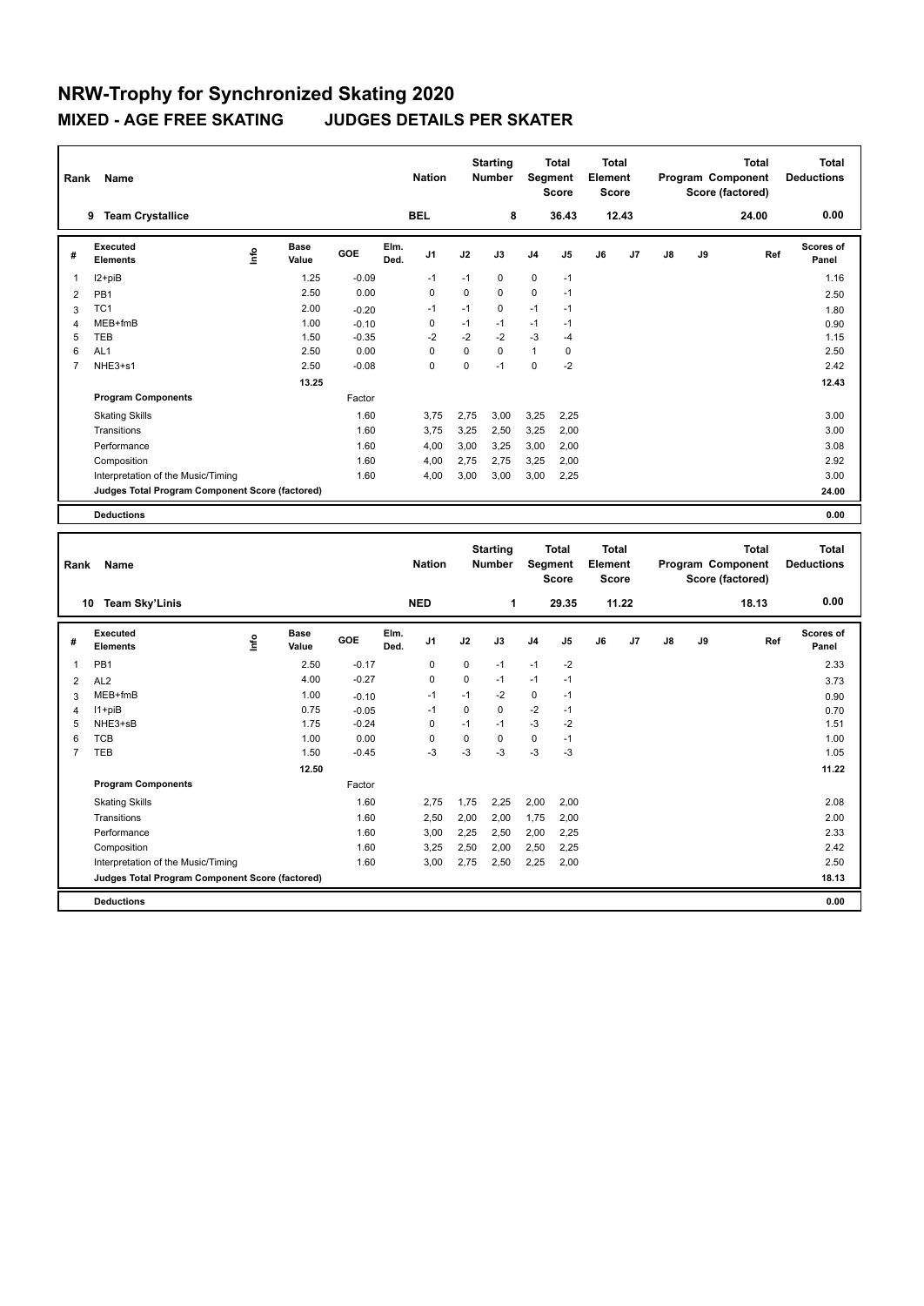| Rank           | Name                                            |      | <b>Nation</b>        |         | <b>Starting</b><br><b>Number</b> |                | <b>Total</b><br>Segment<br><b>Score</b> | <b>Total</b><br>Element<br><b>Score</b> |                |                |    | <b>Total</b><br>Program Component<br>Score (factored) | <b>Total</b><br><b>Deductions</b> |    |       |                    |
|----------------|-------------------------------------------------|------|----------------------|---------|----------------------------------|----------------|-----------------------------------------|-----------------------------------------|----------------|----------------|----|-------------------------------------------------------|-----------------------------------|----|-------|--------------------|
|                | <b>Team Crystallice</b><br>9                    |      |                      |         |                                  | <b>BEL</b>     |                                         | 8                                       |                | 36.43          |    | 12.43                                                 |                                   |    | 24.00 | 0.00               |
| #              | Executed<br><b>Elements</b>                     | lnfo | <b>Base</b><br>Value | GOE     | Elm.<br>Ded.                     | J <sub>1</sub> | J2                                      | J3                                      | J <sub>4</sub> | J <sub>5</sub> | J6 | J7                                                    | J8                                | J9 | Ref   | Scores of<br>Panel |
| 1              | I2+piB                                          |      | 1.25                 | $-0.09$ |                                  | $-1$           | $-1$                                    | 0                                       | $\mathbf 0$    | $-1$           |    |                                                       |                                   |    |       | 1.16               |
| 2              | PB <sub>1</sub>                                 |      | 2.50                 | 0.00    |                                  | 0              | 0                                       | $\mathbf 0$                             | $\mathbf 0$    | $-1$           |    |                                                       |                                   |    |       | 2.50               |
| 3              | TC <sub>1</sub>                                 |      | 2.00                 | $-0.20$ |                                  | $-1$           | $-1$                                    | 0                                       | $-1$           | $-1$           |    |                                                       |                                   |    |       | 1.80               |
| $\overline{4}$ | MEB+fmB                                         |      | 1.00                 | $-0.10$ |                                  | 0              | $-1$                                    | $-1$                                    | $-1$           | $-1$           |    |                                                       |                                   |    |       | 0.90               |
| 5              | <b>TEB</b>                                      |      | 1.50                 | $-0.35$ |                                  | $-2$           | $-2$                                    | $-2$                                    | $-3$           | $-4$           |    |                                                       |                                   |    |       | 1.15               |
| 6              | AL <sub>1</sub>                                 |      | 2.50                 | 0.00    |                                  | $\Omega$       | $\Omega$                                | $\Omega$                                | $\mathbf{1}$   | 0              |    |                                                       |                                   |    |       | 2.50               |
| $\overline{7}$ | NHE3+s1                                         |      | 2.50                 | $-0.08$ |                                  | 0              | 0                                       | $-1$                                    | 0              | $-2$           |    |                                                       |                                   |    |       | 2.42               |
|                |                                                 |      | 13.25                |         |                                  |                |                                         |                                         |                |                |    |                                                       |                                   |    |       | 12.43              |
|                | <b>Program Components</b>                       |      |                      | Factor  |                                  |                |                                         |                                         |                |                |    |                                                       |                                   |    |       |                    |
|                | <b>Skating Skills</b>                           |      |                      | 1.60    |                                  | 3.75           | 2,75                                    | 3,00                                    | 3,25           | 2,25           |    |                                                       |                                   |    |       | 3.00               |
|                | Transitions                                     |      |                      | 1.60    |                                  | 3.75           | 3,25                                    | 2,50                                    | 3,25           | 2,00           |    |                                                       |                                   |    |       | 3.00               |
|                | Performance                                     |      |                      | 1.60    |                                  | 4,00           | 3,00                                    | 3.25                                    | 3,00           | 2,00           |    |                                                       |                                   |    |       | 3.08               |
|                | Composition                                     |      |                      | 1.60    |                                  | 4,00           | 2,75                                    | 2,75                                    | 3,25           | 2,00           |    |                                                       |                                   |    |       | 2.92               |
|                | Interpretation of the Music/Timing              |      |                      | 1.60    |                                  | 4,00           | 3,00                                    | 3,00                                    | 3,00           | 2,25           |    |                                                       |                                   |    |       | 3.00               |
|                | Judges Total Program Component Score (factored) |      |                      |         |                                  |                |                                         |                                         |                |                |    |                                                       |                                   |    |       | 24.00              |
|                | <b>Deductions</b>                               |      |                      |         |                                  |                |                                         |                                         |                |                |    |                                                       |                                   |    |       | 0.00               |

| Rank           | Name                                            |      |                      |         |              | <b>Nation</b>  |             | <b>Starting</b><br><b>Number</b> |                | <b>Total</b><br>Segment<br><b>Score</b> | Total<br>Element<br><b>Score</b> |                |    |    | <b>Total</b><br>Program Component<br>Score (factored) | Total<br><b>Deductions</b> |
|----------------|-------------------------------------------------|------|----------------------|---------|--------------|----------------|-------------|----------------------------------|----------------|-----------------------------------------|----------------------------------|----------------|----|----|-------------------------------------------------------|----------------------------|
|                | <b>Team Sky'Linis</b><br>10                     |      |                      |         |              | <b>NED</b>     |             | 1                                |                | 29.35                                   |                                  | 11.22          |    |    | 18.13                                                 | 0.00                       |
| #              | Executed<br><b>Elements</b>                     | ١nf٥ | <b>Base</b><br>Value | GOE     | Elm.<br>Ded. | J <sub>1</sub> | J2          | J3                               | J <sub>4</sub> | J5                                      | J6                               | J <sub>7</sub> | J8 | J9 | Ref                                                   | <b>Scores of</b><br>Panel  |
| 1              | PB <sub>1</sub>                                 |      | 2.50                 | $-0.17$ |              | 0              | $\mathbf 0$ | $-1$                             | $-1$           | $-2$                                    |                                  |                |    |    |                                                       | 2.33                       |
| $\overline{2}$ | AL <sub>2</sub>                                 |      | 4.00                 | $-0.27$ |              | 0              | $\Omega$    | $-1$                             | $-1$           | $-1$                                    |                                  |                |    |    |                                                       | 3.73                       |
| 3              | MEB+fmB                                         |      | 1.00                 | $-0.10$ |              | $-1$           | $-1$        | $-2$                             | $\mathbf 0$    | $-1$                                    |                                  |                |    |    |                                                       | 0.90                       |
| 4              | $11 + piB$                                      |      | 0.75                 | $-0.05$ |              | $-1$           | $\Omega$    | 0                                | $-2$           | $-1$                                    |                                  |                |    |    |                                                       | 0.70                       |
| 5              | NHE3+sB                                         |      | 1.75                 | $-0.24$ |              | 0              | $-1$        | $-1$                             | $-3$           | $-2$                                    |                                  |                |    |    |                                                       | 1.51                       |
| 6              | <b>TCB</b>                                      |      | 1.00                 | 0.00    |              | 0              | 0           | 0                                | $\mathbf 0$    | $-1$                                    |                                  |                |    |    |                                                       | 1.00                       |
| $\overline{7}$ | <b>TEB</b>                                      |      | 1.50                 | $-0.45$ |              | $-3$           | $-3$        | $-3$                             | $-3$           | $-3$                                    |                                  |                |    |    |                                                       | 1.05                       |
|                |                                                 |      | 12.50                |         |              |                |             |                                  |                |                                         |                                  |                |    |    |                                                       | 11.22                      |
|                | <b>Program Components</b>                       |      |                      | Factor  |              |                |             |                                  |                |                                         |                                  |                |    |    |                                                       |                            |
|                | <b>Skating Skills</b>                           |      |                      | 1.60    |              | 2.75           | 1.75        | 2.25                             | 2,00           | 2.00                                    |                                  |                |    |    |                                                       | 2.08                       |
|                | Transitions                                     |      |                      | 1.60    |              | 2,50           | 2,00        | 2,00                             | 1,75           | 2,00                                    |                                  |                |    |    |                                                       | 2.00                       |
|                | Performance                                     |      |                      | 1.60    |              | 3,00           | 2,25        | 2,50                             | 2,00           | 2,25                                    |                                  |                |    |    |                                                       | 2.33                       |
|                | Composition                                     |      |                      | 1.60    |              | 3,25           | 2,50        | 2,00                             | 2,50           | 2,25                                    |                                  |                |    |    |                                                       | 2.42                       |
|                | Interpretation of the Music/Timing              |      |                      | 1.60    |              | 3,00           | 2,75        | 2,50                             | 2,25           | 2,00                                    |                                  |                |    |    |                                                       | 2.50                       |
|                | Judges Total Program Component Score (factored) |      |                      |         |              |                |             |                                  |                |                                         |                                  |                |    |    |                                                       | 18.13                      |
|                | <b>Deductions</b>                               |      |                      |         |              |                |             |                                  |                |                                         |                                  |                |    |    |                                                       | 0.00                       |